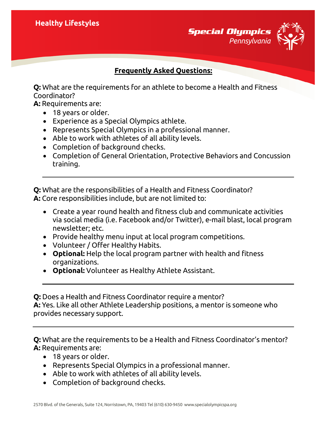**Special Olympics** *Pennsylvania*

## **Frequently Asked Questions:**

**Q:** What are the requirements for an athlete to become a Health and Fitness Coordinator?

**A:** Requirements are:

- 18 years or older.
- Experience as a Special Olympics athlete.
- Represents Special Olympics in a professional manner.
- Able to work with athletes of all ability levels.
- Completion of background checks.
- Completion of General Orientation, Protective Behaviors and Concussion training.

**Q:** What are the responsibilities of a Health and Fitness Coordinator? **A:** Core responsibilities include, but are not limited to:

- Create a year round health and fitness club and communicate activities via social media (i.e. Facebook and/or Twitter), e-mail blast, local program newsletter; etc.
- Provide healthy menu input at local program competitions.
- Volunteer / Offer Healthy Habits.
- **Optional:** Help the local program partner with health and fitness organizations.
- **Optional:** Volunteer as Healthy Athlete Assistant.

**Q:** Does a Health and Fitness Coordinator require a mentor? **A:** Yes. Like all other Athlete Leadership positions, a mentor is someone who provides necessary support.

**Q:** What are the requirements to be a Health and Fitness Coordinator's mentor? **A:** Requirements are:

- 18 years or older.
- Represents Special Olympics in a professional manner.
- Able to work with athletes of all ability levels.
- Completion of background checks.